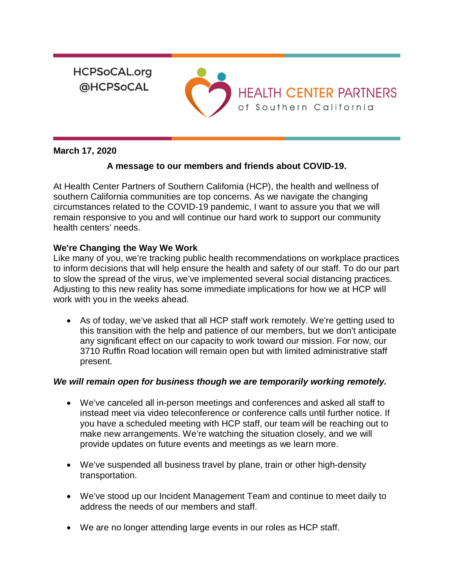**HCPSoCAL.org @HCPSoCAL** 



## **March 17, 2020**

## **A message to our members and friends about COVID-19.**

At Health Center Partners of Southern California (HCP), the health and wellness of southern California communities are top concerns. As we navigate the changing circumstances related to the COVID-19 pandemic, I want to assure you that we will remain responsive to you and will continue our hard work to support our community health centers' needs.

## **We're Changing the Way We Work**

Like many of you, we're tracking public health recommendations on workplace practices to inform decisions that will help ensure the health and safety of our staff. To do our part to slow the spread of the virus, we've implemented several [social distancing](https://calwellness.us16.list-manage.com/track/click?u=7ad9accfcd02b0f7657926184&id=15787ee0ee&e=8f015ec5aa) practices. Adjusting to this new reality has some immediate implications for how we at HCP will work with you in the weeks ahead.

• As of today, we've asked that all HCP staff work remotely. We're getting used to this transition with the help and patience of our members, but we don't anticipate any significant effect on our capacity to work toward our mission. For now, our 3710 Ruffin Road location will remain open but with limited administrative staff present.

## *We will remain open for business though we are temporarily working remotely.*

- We've canceled all in-person meetings and conferences and asked all staff to instead meet via video teleconference or conference calls until further notice. If you have a scheduled meeting with HCP staff, our team will be reaching out to make new arrangements. We're watching the situation closely, and we will provide updates on future events and meetings as we learn more.
- We've suspended all business travel by plane, train or other high-density transportation.
- We've stood up our Incident Management Team and continue to meet daily to address the needs of our members and staff.
- We are no longer attending large events in our roles as HCP staff.